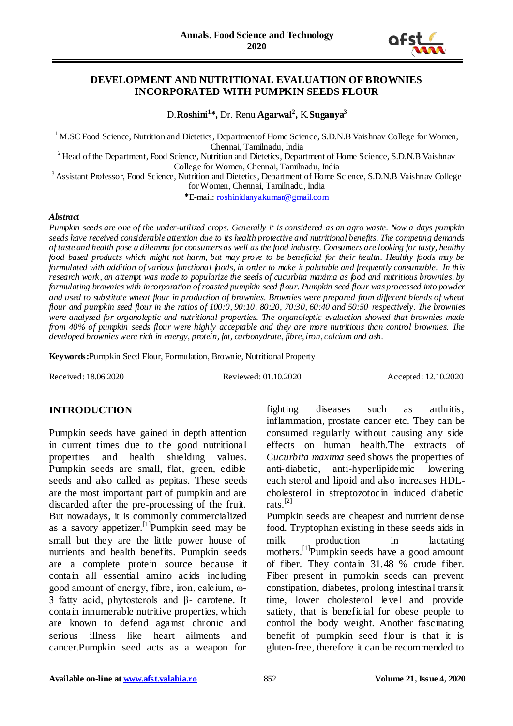

#### **DEVELOPMENT AND NUTRITIONAL EVALUATION OF BROWNIES INCORPORATED WITH PUMPKIN SEEDS FLOUR**

D.**Roshini<sup>1</sup> \*,** Dr. Renu **Agarwal<sup>2</sup> ,** K.**Suganya<sup>3</sup>**

<sup>1</sup> M.SC Food Science, Nutrition and Dietetics, Departmentof Home Science, S.D.N.B Vaishnav College for Women, Chennai, Tamilnadu, India

<sup>2</sup> Head of the Department, Food Science, Nutrition and Dietetics, Department of Home Science, S.D.N.B Vaishnav College for Women, Chennai, Tamilnadu, India

<sup>3</sup> Assistant Professor, Food Science, Nutrition and Dietetics, Department of Home Science, S.D.N.B Vaishnav College

for Women, Chennai, Tamilnadu, India

**\***E-mail: [roshinidanyakumar@gmail.com](mailto:roshinidanyakumar@gmail.com)

#### *Abstract*

*Pumpkin seeds are one of the under-utilized crops. Generally it is considered as an agro waste. Now a days pumpkin seeds have received considerable attention due to its health protective and nutritional benefits. The competing demands of taste and health pose a dilemma for consumers as well as the food industry. Consumers are looking for tasty, healthy food based products which might not harm, but may prove to be beneficial for their health. Healthy foods may be formulated with addition of various functional foods, in order to make it palatable and frequently consumable. In this research work, an attempt was made to popularize the seeds of cucurbita maxima as food and nutritious brownies, by formulating brownies with incorporation of roasted pumpkin seed flour. Pumpkin seed flour was processed into powder and used to substitute wheat flour in production of brownies. Brownies were prepared from different blends of wheat flour and pumpkin seed flour in the ratios of 100:0, 90:10, 80:20, 70:30, 60:40 and 50:50 respectively. The brownies were analysed for organoleptic and nutritional properties. The organoleptic evaluation showed that brownies made from 40% of pumpkin seeds flour were highly acceptable and they are more nutritious than control brownies. The developed brownies were rich in energy, protein, fat, carbohydrate, fibre, iron, calcium and ash.* 

**Keywords:**Pumpkin Seed Flour, Formulation, Brownie, Nutritional Property

Received: 18.06.2020 Reviewed: 01.10.2020 Accepted: 12.10.2020

## **INTRODUCTION**

Pumpkin seeds have gained in depth attention in current times due to the good nutritional properties and health shielding values. Pumpkin seeds are small, flat, green, edible seeds and also called as pepitas. These seeds are the most important part of pumpkin and are discarded after the pre-processing of the fruit. But nowadays, it is commonly commercialized as a savory appetizer.<sup>[1]</sup>Pumpkin seed may be small but they are the little power house of nutrients and health benefits. Pumpkin seeds are a complete protein source because it contain all essential amino acids including good amount of energy, fibre, iron, calcium, ω-3 fatty acid, phytosterols and β- carotene. It contain innumerable nutritive properties, which are known to defend against chronic and serious illness like heart ailments and cancer.Pumpkin seed acts as a weapon for

fighting diseases such as arthritis, inflammation, prostate cancer etc. They can be consumed regularly without causing any side effects on human health.The extracts of *Cucurbita maxima* seed shows the properties of anti-diabetic, anti-hyperlipidemic lowering each sterol and lipoid and also increases HDLcholesterol in streptozotocin induced diabetic rats. [2]

Pumpkin seeds are cheapest and nutrient dense food. Tryptophan existing in these seeds aids in milk production in lactating mothers.<sup>[1]</sup>Pumpkin seeds have a good amount of fiber. They contain 31.48 % crude fiber. Fiber present in pumpkin seeds can prevent constipation, diabetes, prolong intestinal transit time, lower cholesterol level and provide satiety, that is beneficial for obese people to control the body weight. Another fascinating benefit of pumpkin seed flour is that it is gluten-free, therefore it can be recommended to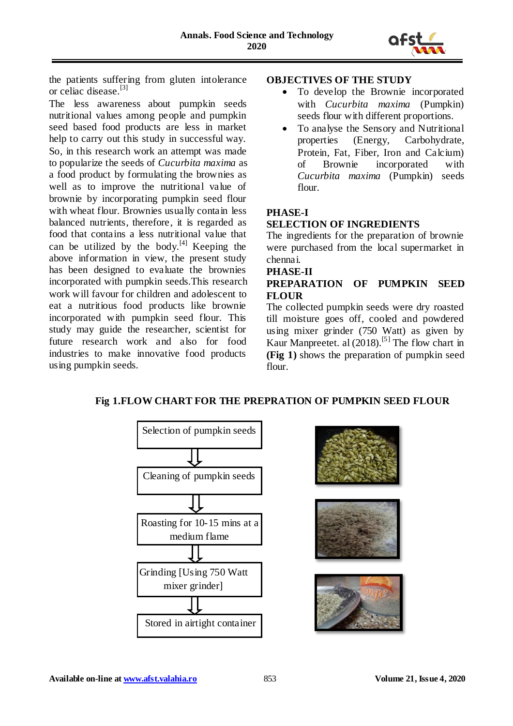

the patients suffering from gluten intolerance or celiac disease.[3]

The less awareness about pumpkin seeds nutritional values among people and pumpkin seed based food products are less in market help to carry out this study in successful way. So, in this research work an attempt was made to popularize the seeds of *Cucurbita maxima* as a food product by formulating the brownies as well as to improve the nutritional value of brownie by incorporating pumpkin seed flour with wheat flour. Brownies usually contain less balanced nutrients, therefore, it is regarded as food that contains a less nutritional value that can be utilized by the body. $[4]$  Keeping the above information in view, the present study has been designed to evaluate the brownies incorporated with pumpkin seeds.This research work will favour for children and adolescent to eat a nutritious food products like brownie incorporated with pumpkin seed flour. This study may guide the researcher, scientist for future research work and also for food industries to make innovative food products using pumpkin seeds.

## **OBJECTIVES OF THE STUDY**

- To develop the Brownie incorporated with *Cucurbita maxima* (Pumpkin) seeds flour with different proportions.
- To analyse the Sensory and Nutritional properties (Energy, Carbohydrate, Protein, Fat, Fiber, Iron and Calcium) of Brownie incorporated with *Cucurbita maxima* (Pumpkin) seeds flour.

# **PHASE-I**

# **SELECTION OF INGREDIENTS**

The ingredients for the preparation of brownie were purchased from the local supermarket in chennai.

# **PHASE-II**

# **PREPARATION OF PUMPKIN SEED FLOUR**

The collected pumpkin seeds were dry roasted till moisture goes off, cooled and powdered using mixer grinder (750 Watt) as given by Kaur Manpreetet. al (2018).<sup>[5]</sup> The flow chart in **(Fig 1)** shows the preparation of pumpkin seed flour.

# **Fig 1.FLOW CHART FOR THE PREPRATION OF PUMPKIN SEED FLOUR**







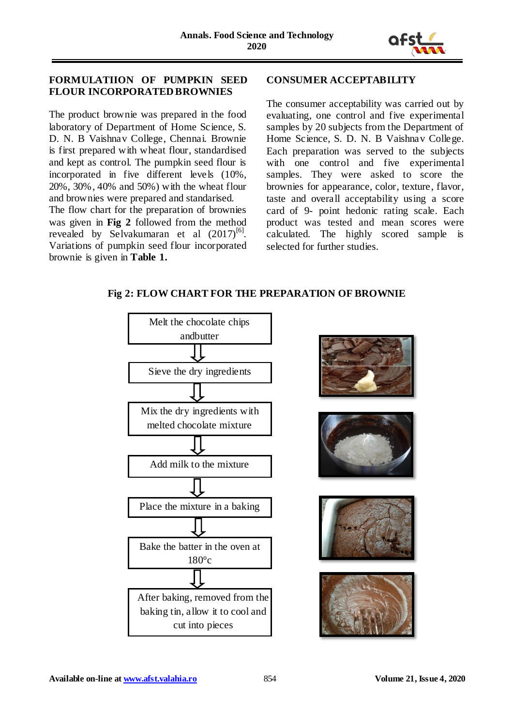

# **FORMULATIION OF PUMPKIN SEED FLOUR INCORPORATED BROWNIES**

The product brownie was prepared in the food laboratory of Department of Home Science, S. D. N. B Vaishnav College, Chennai. Brownie is first prepared with wheat flour, standardised and kept as control. The pumpkin seed flour is incorporated in five different levels (10%, 20%, 30%, 40% and 50%) with the wheat flour and brownies were prepared and standarised.

The flow chart for the preparation of brownies was given in **Fig 2** followed from the method revealed by Selvakumaran et al  $(2017)^{[6]}$ . Variations of pumpkin seed flour incorporated brownie is given in **Table 1.**

## **CONSUMER ACCEPTABILITY**

The consumer acceptability was carried out by evaluating, one control and five experimental samples by 20 subjects from the Department of Home Science, S. D. N. B Vaishnav College. Each preparation was served to the subjects with one control and five experimental samples. They were asked to score the brownies for appearance, color, texture, flavor, taste and overall acceptability using a score card of 9- point hedonic rating scale. Each product was tested and mean scores were calculated. The highly scored sample is selected for further studies.











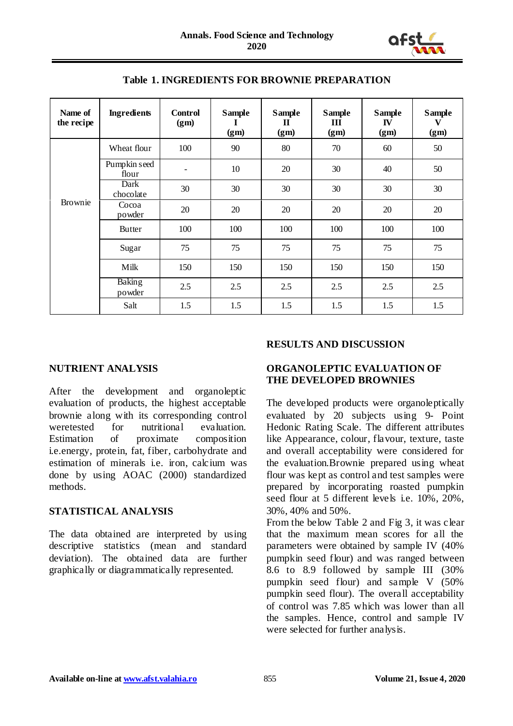

| Name of<br>the recipe | <b>Ingredients</b>    | <b>Control</b><br>(gm) | <b>Sample</b><br>(gm) | <b>Sample</b><br>П<br>(gm) | <b>Sample</b><br>III<br>(gm) | <b>Sample</b><br>IV<br>(g <sub>m</sub> ) | <b>Sample</b><br>v<br>(g <sub>m</sub> ) |
|-----------------------|-----------------------|------------------------|-----------------------|----------------------------|------------------------------|------------------------------------------|-----------------------------------------|
| Brownie               | Wheat flour           | 100                    | 90                    | 80                         | 70                           | 60                                       | 50                                      |
|                       | Pumpkin seed<br>flour | $\qquad \qquad -$      | 10                    | 20                         | 30                           | 40                                       | 50                                      |
|                       | Dark<br>chocolate     | 30                     | 30                    | 30                         | 30                           | 30                                       | 30                                      |
|                       | Cocoa<br>powder       | 20                     | 20                    | 20                         | 20                           | 20                                       | 20                                      |
|                       | <b>Butter</b>         | 100                    | 100                   | 100                        | 100                          | 100                                      | 100                                     |
|                       | Sugar                 | 75                     | 75                    | 75                         | 75                           | 75                                       | 75                                      |
|                       | Milk                  | 150                    | 150                   | 150                        | 150                          | 150                                      | 150                                     |
|                       | Baking<br>powder      | 2.5                    | 2.5                   | 2.5                        | 2.5                          | 2.5                                      | 2.5                                     |
|                       | Salt                  | 1.5                    | 1.5                   | 1.5                        | 1.5                          | 1.5                                      | 1.5                                     |

**Table 1. INGREDIENTS FOR BROWNIE PREPARATION**

## **NUTRIENT ANALYSIS**

After the development and organoleptic evaluation of products, the highest acceptable brownie along with its corresponding control weretested for nutritional evaluation. Estimation of proximate composition i.e.energy, protein, fat, fiber, carbohydrate and estimation of minerals i.e. iron, calcium was done by using AOAC (2000) standardized methods.

# **STATISTICAL ANALYSIS**

The data obtained are interpreted by using descriptive statistics (mean and standard deviation). The obtained data are further graphically or diagrammatically represented.

## **RESULTS AND DISCUSSION**

# **ORGANOLEPTIC EVALUATION OF THE DEVELOPED BROWNIES**

The developed products were organoleptically evaluated by 20 subjects using 9- Point Hedonic Rating Scale. The different attributes like Appearance, colour, flavour, texture, taste and overall acceptability were considered for the evaluation.Brownie prepared using wheat flour was kept as control and test samples were prepared by incorporating roasted pumpkin seed flour at 5 different levels i.e. 10%, 20%, 30%, 40% and 50%.

From the below Table 2 and Fig 3, it was clear that the maximum mean scores for all the parameters were obtained by sample IV (40% pumpkin seed flour) and was ranged between 8.6 to 8.9 followed by sample III (30% pumpkin seed flour) and sample V (50% pumpkin seed flour). The overall acceptability of control was 7.85 which was lower than all the samples. Hence, control and sample IV were selected for further analysis.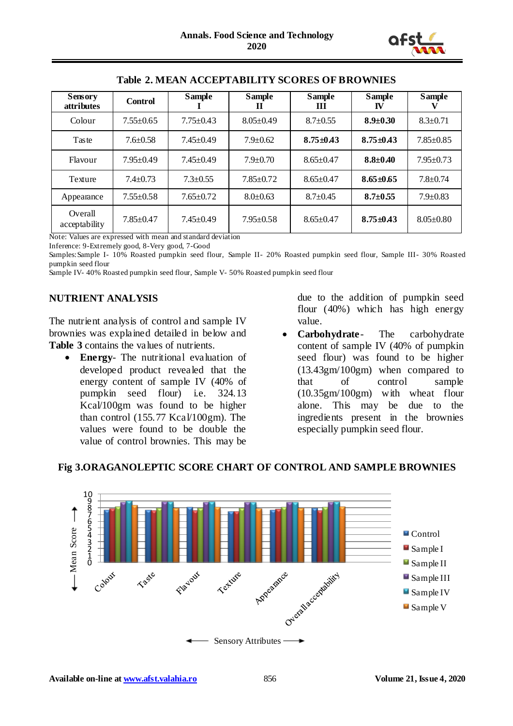

| <b>Sensory</b><br><i>attributes</i> | <b>Control</b>  | <b>Sample</b>   | <b>Sample</b><br>п | <b>Sample</b><br>Ш | <b>Sample</b><br>IV | <b>Sample</b>   |
|-------------------------------------|-----------------|-----------------|--------------------|--------------------|---------------------|-----------------|
| Colour                              | $7.55 \pm 0.65$ | $7.75 \pm 0.43$ | $8.05 \pm 0.49$    | $8.7 \pm 0.55$     | $8.9 \pm 0.30$      | $8.3 \pm 0.71$  |
| Taste                               | $7.6 \pm 0.58$  | $7.45 \pm 0.49$ | $7.9 \pm 0.62$     | $8.75 \pm 0.43$    | $8.75 \pm 0.43$     | $7.85 \pm 0.85$ |
| Flavour                             | $7.95 \pm 0.49$ | $7.45 \pm 0.49$ | $7.9 \pm 0.70$     | $8.65 \pm 0.47$    | $8.8 \pm 0.40$      | $7.95 \pm 0.73$ |
| Texture                             | $7.4 + 0.73$    | $7.3 \pm 0.55$  | $7.85 \pm 0.72$    | $8.65 \pm 0.47$    | $8.65 \pm 0.65$     | $7.8 \pm 0.74$  |
| Appearance                          | $7.55 \pm 0.58$ | $7.65 \pm 0.72$ | $8.0 \pm 0.63$     | $8.7 \pm 0.45$     | $8.7 \pm 0.55$      | $7.9 \pm 0.83$  |
| Overall<br>acceptability            | $7.85 \pm 0.47$ | $7.45 \pm 0.49$ | $7.95 \pm 0.58$    | $8.65 \pm 0.47$    | $8.75 \pm 0.43$     | $8.05 \pm 0.80$ |

#### **Table 2. MEAN ACCEPTABILITY SCORES OF BROWNIES**

Note: Values are expressed with mean and standard deviation

Inference: 9-Extremely good, 8-Very good, 7-Good

Samples:Sample I- 10% Roasted pumpkin seed flour, Sample II- 20% Roasted pumpkin seed flour, Sample III- 30% Roasted pumpkin seed flour

Sample IV- 40% Roasted pumpkin seed flour, Sample V- 50% Roasted pumpkin seed flour

# **NUTRIENT ANALYSIS**

The nutrient analysis of control and sample IV brownies was explained detailed in below and **Table 3** contains the values of nutrients.

 **Energy**- The nutritional evaluation of developed product revealed that the energy content of sample IV (40% of pumpkin seed flour) i.e. 324.13 Kcal/100gm was found to be higher than control (155.77 Kcal/100gm). The values were found to be double the value of control brownies. This may be

due to the addition of pumpkin seed flour (40%) which has high energy value.

 **Carbohydrate**- The carbohydrate content of sample IV (40% of pumpkin seed flour) was found to be higher (13.43gm/100gm) when compared to that of control sample (10.35gm/100gm) with wheat flour alone. This may be due to the ingredients present in the brownies especially pumpkin seed flour.



## **Fig 3.ORAGANOLEPTIC SCORE CHART OF CONTROL AND SAMPLE BROWNIES**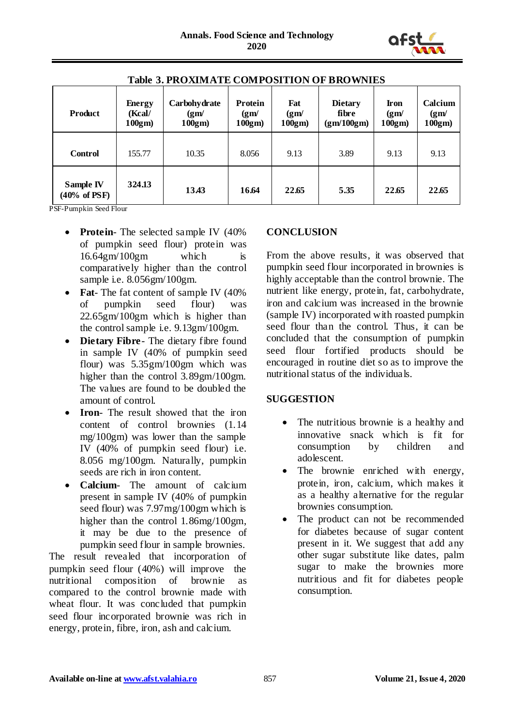

| <b>Product</b>                        | <b>Energy</b><br>Kcal/<br>100gm | Carbohydrate<br>(gm)<br>100gm | Protein<br>(gm)<br>100gm) | Fat<br>(gm)<br>100gm) | <b>Dietary</b><br>fibre<br>(gm/100gm) | <b>Iron</b><br>(gm)<br>100gm | Calcium<br>(gm)<br>$100gm$ ) |
|---------------------------------------|---------------------------------|-------------------------------|---------------------------|-----------------------|---------------------------------------|------------------------------|------------------------------|
| <b>Control</b>                        | 155.77                          | 10.35                         | 8.056                     | 9.13                  | 3.89                                  | 9.13                         | 9.13                         |
| Sample IV<br>$(40\% \text{ of } PSF)$ | 324.13                          | 13.43                         | 16.64                     | 22.65                 | 5.35                                  | 22.65                        | 22.65                        |

# **Table 3. PROXIMATE COMPOSITION OF BROWNIES**

PSF-Pumpkin Seed Flour

- **Protein** The selected sample IV (40%) of pumpkin seed flour) protein was 16.64gm/100gm which is comparatively higher than the control sample i.e. 8.056gm/100gm.
- **Fat** The fat content of sample IV (40%) of pumpkin seed flour) was 22.65gm/100gm which is higher than the control sample i.e. 9.13gm/100gm.
- **Dietary Fibre** The dietary fibre found in sample IV (40% of pumpkin seed flour) was 5.35gm/100gm which was higher than the control 3.89gm/100gm. The values are found to be doubled the amount of control.
- **Iron** The result showed that the iron content of control brownies (1.14 mg/100gm) was lower than the sample IV (40% of pumpkin seed flour) i.e. 8.056 mg/100gm. Naturally, pumpkin seeds are rich in iron content.
- **Calcium** The amount of calcium present in sample IV (40% of pumpkin seed flour) was 7.97mg/100gm which is higher than the control 1.86mg/100gm, it may be due to the presence of pumpkin seed flour in sample brownies.

The result revealed that incorporation of pumpkin seed flour (40%) will improve the nutritional composition of brownie as compared to the control brownie made with wheat flour. It was concluded that pumpkin seed flour incorporated brownie was rich in energy, protein, fibre, iron, ash and calcium.

# **CONCLUSION**

From the above results, it was observed that pumpkin seed flour incorporated in brownies is highly acceptable than the control brownie. The nutrient like energy, protein, fat, carbohydrate, iron and calcium was increased in the brownie (sample IV) incorporated with roasted pumpkin seed flour than the control. Thus, it can be concluded that the consumption of pumpkin seed flour fortified products should be encouraged in routine diet so as to improve the nutritional status of the individuals.

## **SUGGESTION**

- The nutritious brownie is a healthy and innovative snack which is fit for consumption by children and adolescent.
- The brownie enriched with energy, protein, iron, calcium, which makes it as a healthy alternative for the regular brownies consumption.
- The product can not be recommended for diabetes because of sugar content present in it. We suggest that add any other sugar substitute like dates, palm sugar to make the brownies more nutritious and fit for diabetes people consumption.